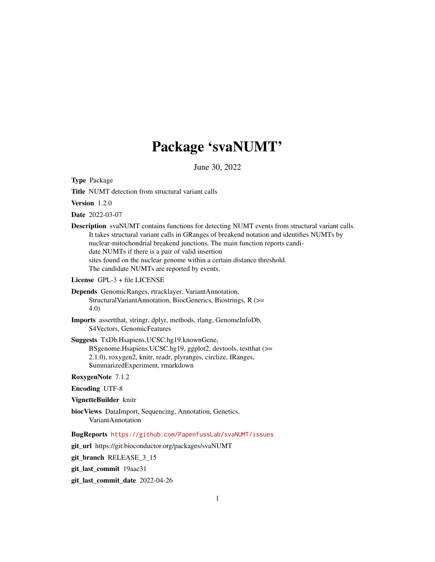# Package 'svaNUMT'

June 30, 2022

Type Package

Title NUMT detection from structural variant calls

Version 1.2.0

Date 2022-03-07

Description svaNUMT contains functions for detecting NUMT events from structural variant calls. It takes structural variant calls in GRanges of breakend notation and identifies NUMTs by nuclear-mitochondrial breakend junctions. The main function reports candidate NUMTs if there is a pair of valid insertion sites found on the nuclear genome within a certain distance threshold. The candidate NUMTs are reported by events.

License GPL-3 + file LICENSE

- Depends GenomicRanges, rtracklayer, VariantAnnotation, StructuralVariantAnnotation, BiocGenerics, Biostrings, R (>= 4.0)
- Imports assertthat, stringr, dplyr, methods, rlang, GenomeInfoDb, S4Vectors, GenomicFeatures
- Suggests TxDb.Hsapiens.UCSC.hg19.knownGene, BSgenome.Hsapiens.UCSC.hg19, ggplot2, devtools, testthat (>= 2.1.0), roxygen2, knitr, readr, plyranges, circlize, IRanges, SummarizedExperiment, rmarkdown

RoxygenNote 7.1.2

Encoding UTF-8

VignetteBuilder knitr

biocViews DataImport, Sequencing, Annotation, Genetics, VariantAnnotation

BugReports <https://github.com/PapenfussLab/svaNUMT/issues>

git\_url https://git.bioconductor.org/packages/svaNUMT

git branch RELEASE 3 15

git\_last\_commit 19aac31

git\_last\_commit\_date 2022-04-26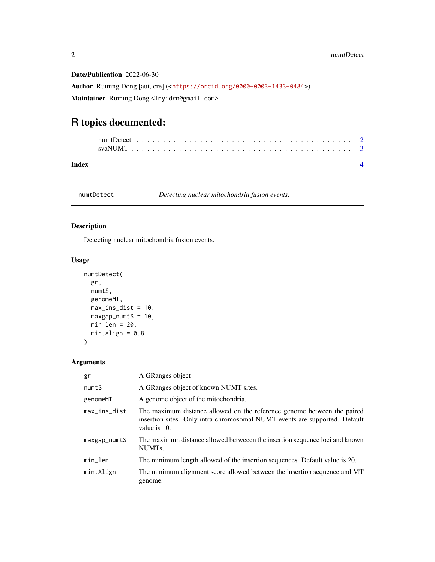Date/Publication 2022-06-30

Author Ruining Dong [aut, cre] (<<https://orcid.org/0000-0003-1433-0484>>) Maintainer Ruining Dong <lnyidrn@gmail.com>

## R topics documented:

| Index |  |  |  |  |  |  |  |  |  |  |  |  |  |  |  |  |  |  |  |  |
|-------|--|--|--|--|--|--|--|--|--|--|--|--|--|--|--|--|--|--|--|--|

numtDetect *Detecting nuclear mitochondria fusion events.*

#### Description

Detecting nuclear mitochondria fusion events.

#### Usage

```
numtDetect(
 gr,
 numtS,
  genomeMT,
 max_ins_dist = 10,
 maxgap\_num <i>S</i> = 10,min\_len = 20,
 min.Align = 0.8)
```
### Arguments

| gr                     | A GRanges object                                                                                                                                                      |
|------------------------|-----------------------------------------------------------------------------------------------------------------------------------------------------------------------|
| numtS                  | A GRanges object of known NUMT sites.                                                                                                                                 |
| genomeMT               | A genome object of the mitochondria.                                                                                                                                  |
| $max_{i}$ max_ins_dist | The maximum distance allowed on the reference genome between the paired<br>insertion sites. Only intra-chromosomal NUMT events are supported. Default<br>value is 10. |
| maxgap_numtS           | The maximum distance allowed betweeen the insertion sequence loci and known<br>NUMT <sub>s</sub> .                                                                    |
| min_len                | The minimum length allowed of the insertion sequences. Default value is 20.                                                                                           |
| min.Align              | The minimum alignment score allowed between the insertion sequence and MT<br>genome.                                                                                  |

<span id="page-1-0"></span>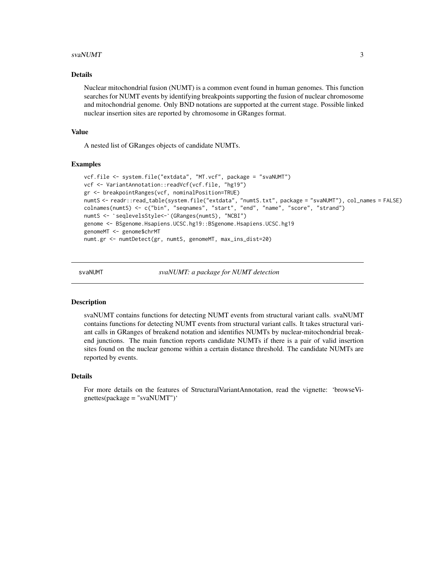#### <span id="page-2-0"></span> $s$ vaNUMT  $\overline{3}$

#### Details

Nuclear mitochondrial fusion (NUMT) is a common event found in human genomes. This function searches for NUMT events by identifying breakpoints supporting the fusion of nuclear chromosome and mitochondrial genome. Only BND notations are supported at the current stage. Possible linked nuclear insertion sites are reported by chromosome in GRanges format.

#### Value

A nested list of GRanges objects of candidate NUMTs.

#### Examples

```
vcf.file <- system.file("extdata", "MT.vcf", package = "svaNUMT")
vcf <- VariantAnnotation::readVcf(vcf.file, "hg19")
gr <- breakpointRanges(vcf, nominalPosition=TRUE)
numtS <- readr::read_table(system.file("extdata", "numtS.txt", package = "svaNUMT"), col_names = FALSE)
colnames(numtS) <- c("bin", "seqnames", "start", "end", "name", "score", "strand")
numtS <- `seqlevelsStyle<-`(GRanges(numtS), "NCBI")
genome <- BSgenome.Hsapiens.UCSC.hg19::BSgenome.Hsapiens.UCSC.hg19
genomeMT <- genome$chrMT
numt.gr <- numtDetect(gr, numtS, genomeMT, max_ins_dist=20)
```
svaNUMT *svaNUMT: a package for NUMT detection*

#### Description

svaNUMT contains functions for detecting NUMT events from structural variant calls. svaNUMT contains functions for detecting NUMT events from structural variant calls. It takes structural variant calls in GRanges of breakend notation and identifies NUMTs by nuclear-mitochondrial breakend junctions. The main function reports candidate NUMTs if there is a pair of valid insertion sites found on the nuclear genome within a certain distance threshold. The candidate NUMTs are reported by events.

#### Details

For more details on the features of StructuralVariantAnnotation, read the vignette: 'browseVignettes(package = "svaNUMT")'